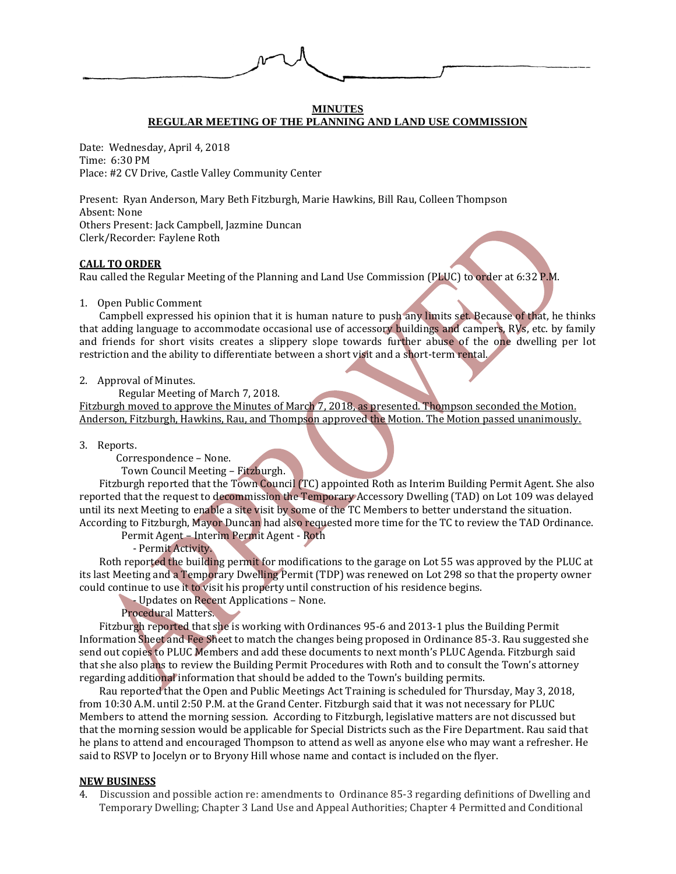

## **MINUTES REGULAR MEETING OF THE PLANNING AND LAND USE COMMISSION**

Date: Wednesday, April 4, 2018 Time: 6:30 PM Place: #2 CV Drive, Castle Valley Community Center

Present: Ryan Anderson, Mary Beth Fitzburgh, Marie Hawkins, Bill Rau, Colleen Thompson Absent: None Others Present: Jack Campbell, Jazmine Duncan Clerk/Recorder: Faylene Roth

# **CALL TO ORDER**

Rau called the Regular Meeting of the Planning and Land Use Commission (PLUC) to order at 6:32 P.M.

# 1. Open Public Comment

Campbell expressed his opinion that it is human nature to push any limits set. Because of that, he thinks that adding language to accommodate occasional use of accessory buildings and campers, RVs, etc. by family and friends for short visits creates a slippery slope towards further abuse of the one dwelling per lot restriction and the ability to differentiate between a short visit and a short-term rental.

2. Approval of Minutes.

Regular Meeting of March 7, 2018.

Fitzburgh moved to approve the Minutes of March 7, 2018, as presented. Thompson seconded the Motion. Anderson, Fitzburgh, Hawkins, Rau, and Thompson approved the Motion. The Motion passed unanimously.

3. Reports.

Correspondence – None.

Town Council Meeting – Fitzburgh.

Fitzburgh reported that the Town Council (TC) appointed Roth as Interim Building Permit Agent. She also reported that the request to decommission the Temporary Accessory Dwelling (TAD) on Lot 109 was delayed until its next Meeting to enable a site visit by some of the TC Members to better understand the situation. According to Fitzburgh, Mayor Duncan had also requested more time for the TC to review the TAD Ordinance.

Permit Agent – Interim Permit Agent - Roth

- Permit Activity.

Roth reported the building permit for modifications to the garage on Lot 55 was approved by the PLUC at its last Meeting and a Temporary Dwelling Permit (TDP) was renewed on Lot 298 so that the property owner could continue to use it to visit his property until construction of his residence begins.

- Updates on Recent Applications – None.

Procedural Matters.

Fitzburgh reported that she is working with Ordinances 95-6 and 2013-1 plus the Building Permit Information Sheet and Fee Sheet to match the changes being proposed in Ordinance 85-3. Rau suggested she send out copies to PLUC Members and add these documents to next month's PLUC Agenda. Fitzburgh said that she also plans to review the Building Permit Procedures with Roth and to consult the Town's attorney regarding additional information that should be added to the Town's building permits.

Rau reported that the Open and Public Meetings Act Training is scheduled for Thursday, May 3, 2018, from 10:30 A.M. until 2:50 P.M. at the Grand Center. Fitzburgh said that it was not necessary for PLUC Members to attend the morning session. According to Fitzburgh, legislative matters are not discussed but that the morning session would be applicable for Special Districts such as the Fire Department. Rau said that he plans to attend and encouraged Thompson to attend as well as anyone else who may want a refresher. He said to RSVP to Jocelyn or to Bryony Hill whose name and contact is included on the flyer.

# **NEW BUSINESS**

4. Discussion and possible action re: amendments to Ordinance 85-3 regarding definitions of Dwelling and Temporary Dwelling; Chapter 3 Land Use and Appeal Authorities; Chapter 4 Permitted and Conditional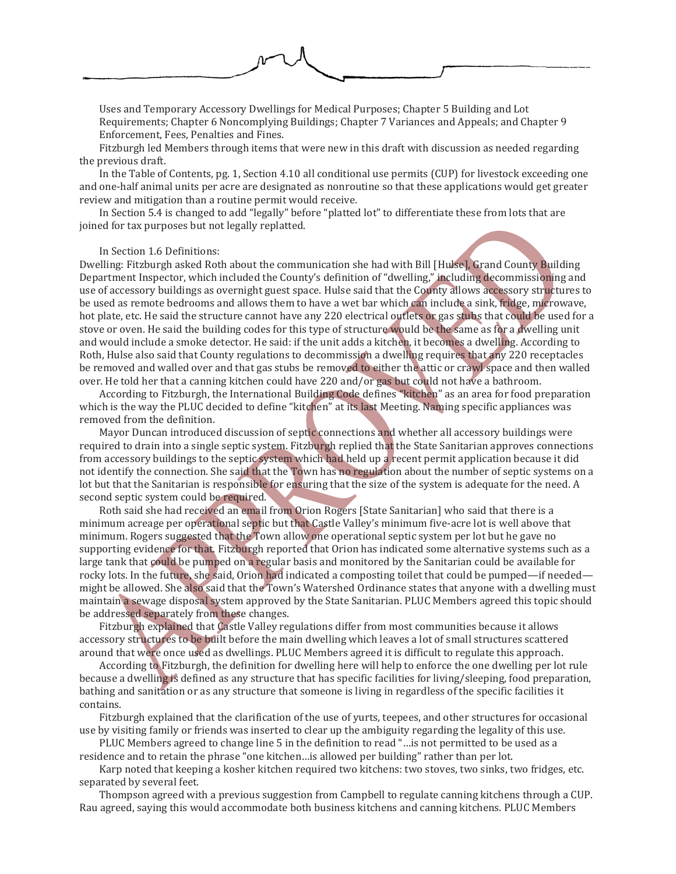

Uses and Temporary Accessory Dwellings for Medical Purposes; Chapter 5 Building and Lot Requirements; Chapter 6 Noncomplying Buildings; Chapter 7 Variances and Appeals; and Chapter 9 Enforcement, Fees, Penalties and Fines.

Fitzburgh led Members through items that were new in this draft with discussion as needed regarding the previous draft.

In the Table of Contents, pg. 1, Section 4.10 all conditional use permits (CUP) for livestock exceeding one and one-half animal units per acre are designated as nonroutine so that these applications would get greater review and mitigation than a routine permit would receive.

In Section 5.4 is changed to add "legally" before "platted lot" to differentiate these from lots that are joined for tax purposes but not legally replatted.

# In Section 1.6 Definitions:

Dwelling: Fitzburgh asked Roth about the communication she had with Bill [Hulse], Grand County Building Department Inspector, which included the County's definition of "dwelling," including decommissioning and use of accessory buildings as overnight guest space. Hulse said that the County allows accessory structures to be used as remote bedrooms and allows them to have a wet bar which can include a sink, fridge, microwave, hot plate, etc. He said the structure cannot have any 220 electrical outlets or gas stubs that could be used for a stove or oven. He said the building codes for this type of structure would be the same as for a dwelling unit and would include a smoke detector. He said: if the unit adds a kitchen, it becomes a dwelling. According to Roth, Hulse also said that County regulations to decommission a dwelling requires that any 220 receptacles be removed and walled over and that gas stubs be removed to either the attic or crawl space and then walled over. He told her that a canning kitchen could have 220 and/or gas but could not have a bathroom.

According to Fitzburgh, the International Building Code defines "kitchen" as an area for food preparation which is the way the PLUC decided to define "kitchen" at its last Meeting. Naming specific appliances was removed from the definition.

Mayor Duncan introduced discussion of septic connections and whether all accessory buildings were required to drain into a single septic system. Fitzburgh replied that the State Sanitarian approves connections from accessory buildings to the septic system which had held up a recent permit application because it did not identify the connection. She said that the Town has no regulation about the number of septic systems on a lot but that the Sanitarian is responsible for ensuring that the size of the system is adequate for the need. A second septic system could be required.

Roth said she had received an email from Orion Rogers [State Sanitarian] who said that there is a minimum acreage per operational septic but that Castle Valley's minimum five-acre lot is well above that minimum. Rogers suggested that the Town allow one operational septic system per lot but he gave no supporting evidence for that. Fitzburgh reported that Orion has indicated some alternative systems such as a large tank that could be pumped on a regular basis and monitored by the Sanitarian could be available for rocky lots. In the future, she said, Orion had indicated a composting toilet that could be pumped—if needed might be allowed. She also said that the Town's Watershed Ordinance states that anyone with a dwelling must maintain a sewage disposal system approved by the State Sanitarian. PLUC Members agreed this topic should be addressed separately from these changes.

Fitzburgh explained that Castle Valley regulations differ from most communities because it allows accessory structures to be built before the main dwelling which leaves a lot of small structures scattered around that were once used as dwellings. PLUC Members agreed it is difficult to regulate this approach.

According to Fitzburgh, the definition for dwelling here will help to enforce the one dwelling per lot rule because a dwelling is defined as any structure that has specific facilities for living/sleeping, food preparation, bathing and sanitation or as any structure that someone is living in regardless of the specific facilities it contains.

Fitzburgh explained that the clarification of the use of yurts, teepees, and other structures for occasional use by visiting family or friends was inserted to clear up the ambiguity regarding the legality of this use.

PLUC Members agreed to change line 5 in the definition to read "…is not permitted to be used as a residence and to retain the phrase "one kitchen…is allowed per building" rather than per lot.

Karp noted that keeping a kosher kitchen required two kitchens: two stoves, two sinks, two fridges, etc. separated by several feet.

Thompson agreed with a previous suggestion from Campbell to regulate canning kitchens through a CUP. Rau agreed, saying this would accommodate both business kitchens and canning kitchens. PLUC Members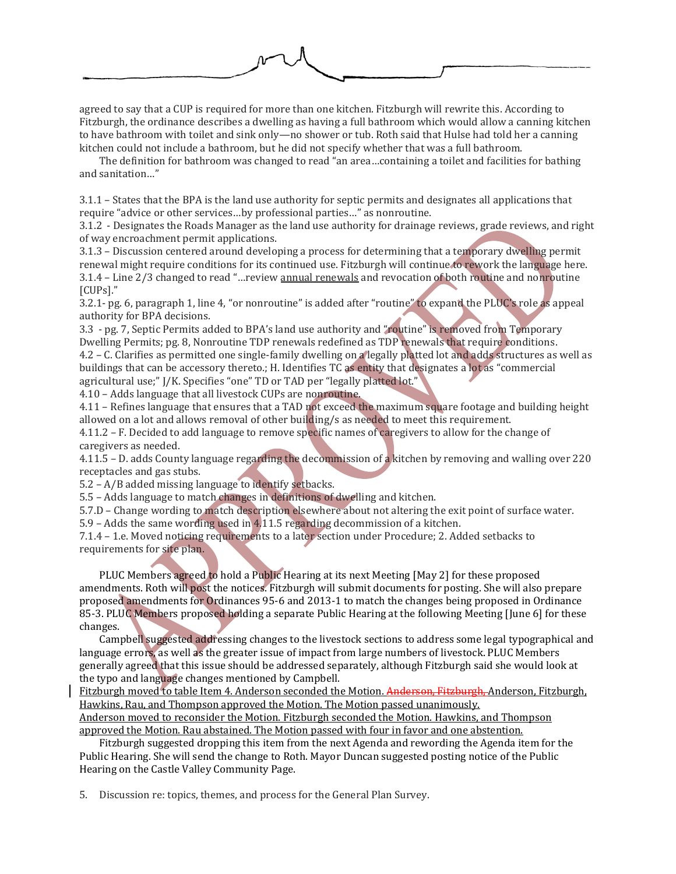

agreed to say that a CUP is required for more than one kitchen. Fitzburgh will rewrite this. According to Fitzburgh, the ordinance describes a dwelling as having a full bathroom which would allow a canning kitchen to have bathroom with toilet and sink only—no shower or tub. Roth said that Hulse had told her a canning kitchen could not include a bathroom, but he did not specify whether that was a full bathroom.

The definition for bathroom was changed to read "an area…containing a toilet and facilities for bathing and sanitation…"

3.1.1 – States that the BPA is the land use authority for septic permits and designates all applications that require "advice or other services…by professional parties…" as nonroutine.

3.1.2 - Designates the Roads Manager as the land use authority for drainage reviews, grade reviews, and right of way encroachment permit applications.

3.1.3 – Discussion centered around developing a process for determining that a temporary dwelling permit renewal might require conditions for its continued use. Fitzburgh will continue to rework the language here. 3.1.4 – Line 2/3 changed to read "…review annual renewals and revocation of both routine and nonroutine [CUPs]."

3.2.1- pg. 6, paragraph 1, line 4, "or nonroutine" is added after "routine" to expand the PLUC's role as appeal authority for BPA decisions.

3.3 - pg. 7, Septic Permits added to BPA's land use authority and "routine" is removed from Temporary Dwelling Permits; pg. 8, Nonroutine TDP renewals redefined as TDP renewals that require conditions. 4.2 – C. Clarifies as permitted one single-family dwelling on a legally platted lot and adds structures as well as buildings that can be accessory thereto.; H. Identifies TC as entity that designates a lot as "commercial agricultural use;" J/K. Specifies "one" TD or TAD per "legally platted lot."

4.10 – Adds language that all livestock CUPs are nonroutine.

4.11 – Refines language that ensures that a TAD not exceed the maximum square footage and building height allowed on a lot and allows removal of other building/s as needed to meet this requirement.

4.11.2 – F. Decided to add language to remove specific names of caregivers to allow for the change of caregivers as needed.

4.11.5 – D. adds County language regarding the decommission of a kitchen by removing and walling over 220 receptacles and gas stubs.

5.2 – A/B added missing language to identify setbacks.

5.5 – Adds language to match changes in definitions of dwelling and kitchen.

5.7.D – Change wording to match description elsewhere about not altering the exit point of surface water. 5.9 – Adds the same wording used in 4.11.5 regarding decommission of a kitchen.

7.1.4 – 1.e. Moved noticing requirements to a later section under Procedure; 2. Added setbacks to requirements for site plan.

PLUC Members agreed to hold a Public Hearing at its next Meeting [May 2] for these proposed amendments. Roth will post the notices. Fitzburgh will submit documents for posting. She will also prepare proposed amendments for Ordinances 95-6 and 2013-1 to match the changes being proposed in Ordinance 85-3. PLUC Members proposed holding a separate Public Hearing at the following Meeting [June 6] for these changes.

Campbell suggested addressing changes to the livestock sections to address some legal typographical and language errors, as well as the greater issue of impact from large numbers of livestock. PLUC Members generally agreed that this issue should be addressed separately, although Fitzburgh said she would look at the typo and language changes mentioned by Campbell.

Fitzburgh moved to table Item 4. Anderson seconded the Motion. Anderson, Fitzburgh, Anderson, Fitzburgh, Hawkins, Rau, and Thompson approved the Motion. The Motion passed unanimously.

Anderson moved to reconsider the Motion. Fitzburgh seconded the Motion. Hawkins, and Thompson approved the Motion. Rau abstained. The Motion passed with four in favor and one abstention.

Fitzburgh suggested dropping this item from the next Agenda and rewording the Agenda item for the Public Hearing. She will send the change to Roth. Mayor Duncan suggested posting notice of the Public Hearing on the Castle Valley Community Page.

5. Discussion re: topics, themes, and process for the General Plan Survey.